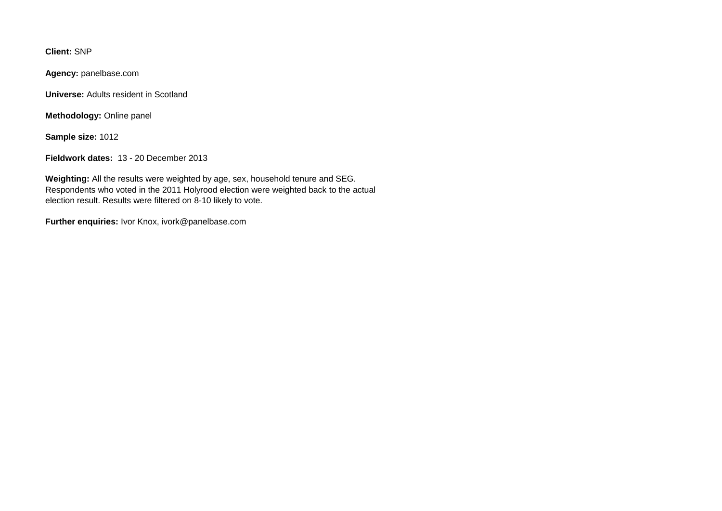**Client:** SNP

**Agency:** panelbase.com

**Universe:** Adults resident in Scotland

**Methodology:** Online panel

**Sample size:** 1012

**Fieldwork dates:** 13 - 20 December 2013

**Weighting:** All the results were weighted by age, sex, household tenure and SEG. Respondents who voted in the 2011 Holyrood election were weighted back to the actual election result. Results were filtered on 8-10 likely to vote.

**Further enquiries:** Ivor Knox, ivork@panelbase.com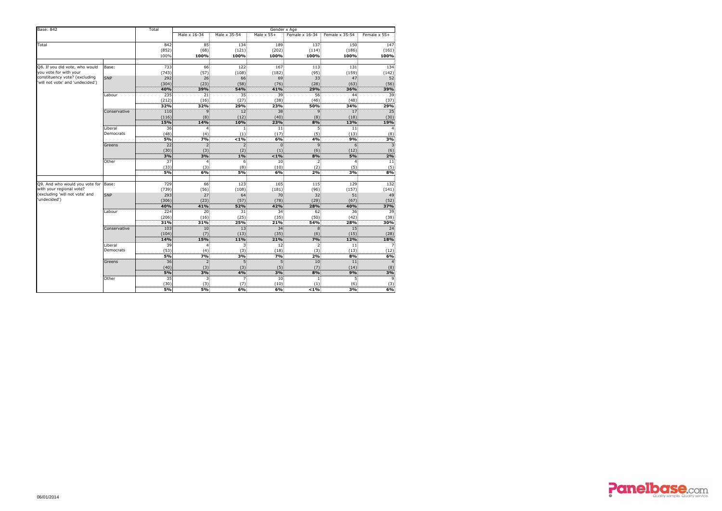| <b>Base: 842</b>                                                                                                   |                      | Total        | Gender x Age   |                   |                 |                        |                          |                 |  |  |  |  |  |
|--------------------------------------------------------------------------------------------------------------------|----------------------|--------------|----------------|-------------------|-----------------|------------------------|--------------------------|-----------------|--|--|--|--|--|
|                                                                                                                    |                      | Male x 16-34 | Male x 35-54   | Male $\times$ 55+ | Female x 16-34  | Female x 35-54         | Female x 55+             |                 |  |  |  |  |  |
| Total                                                                                                              |                      | 842          | 85             | 134               | 189             | 137                    | 150                      | 147             |  |  |  |  |  |
|                                                                                                                    |                      | (852)        | (68)           | (121)             | (202)           | (114)                  | (186)                    | (161)           |  |  |  |  |  |
|                                                                                                                    |                      | 100%         | 100%           | 100%              | 100%            | 100%                   | 100%                     | 100%            |  |  |  |  |  |
| Q8. If you did vote, who would                                                                                     | Base:                | 733          | 66             | 122               |                 | 113                    | 131                      | 134             |  |  |  |  |  |
| you vote for with your                                                                                             |                      |              |                |                   | 167             |                        |                          |                 |  |  |  |  |  |
| constituency vote? (excluding                                                                                      | <b>SNP</b>           | (743)<br>292 | (57)<br>$26 -$ | (108)<br>66       | (182)<br>69     | (95)<br>$33 -$         | (159)<br>47 <sup>°</sup> | (142)<br>52     |  |  |  |  |  |
| 'will not vote' and 'undecided')                                                                                   |                      | (304)        | (23)           | (58)              | (76)            | (28)                   | (63)                     | (56)            |  |  |  |  |  |
|                                                                                                                    |                      | 40%          | 39%            | <b>54%</b>        | 41%             | 29%                    | 36%                      | 39%             |  |  |  |  |  |
|                                                                                                                    | Labour               | 235          | 21             | 35                | 39              | 56                     | 44                       | 39              |  |  |  |  |  |
|                                                                                                                    |                      | (212)        | (16)           | (27)              | (38)            | (46)                   | (48)                     | (37)            |  |  |  |  |  |
|                                                                                                                    |                      | 32%          | 32%            | 29%               | 23%             | <b>50%</b>             | 34%                      | 29%             |  |  |  |  |  |
|                                                                                                                    | Conservative         | 110          |                | 12 <sub>1</sub>   | 38              | 9.                     | 17                       | $\overline{25}$ |  |  |  |  |  |
|                                                                                                                    |                      | (116)        | (8)            | (12)              | (40)            | (8)                    | (18)                     | (30)            |  |  |  |  |  |
|                                                                                                                    |                      | 15%          | 14%            | 10%               | 23%             | 8%                     | 13%                      | 19%             |  |  |  |  |  |
|                                                                                                                    | Liberal              | 36           |                |                   | 11 <sup>2</sup> | כ.                     | 11,                      |                 |  |  |  |  |  |
|                                                                                                                    | Democrats            | (48)         | (4)            | (1)               | (17)            | (5)                    | (13)                     | (8)             |  |  |  |  |  |
|                                                                                                                    |                      | 5%           | 7%             | $1\%$             | 6%              | 4%                     | 9%                       | 3%              |  |  |  |  |  |
|                                                                                                                    | Greens               | 22           | 2.             |                   | $\overline{0}$  | 9.                     | 6.                       |                 |  |  |  |  |  |
|                                                                                                                    |                      | (30)         | (3)            | (2)               | (1)             | (6)                    | (12)                     | (6)             |  |  |  |  |  |
|                                                                                                                    |                      | 3%           | 3%             | 1%                | $1\%$           | 8%                     | 5%                       | 2%              |  |  |  |  |  |
|                                                                                                                    | Other                | 37           |                | 6.                | 10 <sub>1</sub> | 2.                     |                          | 11              |  |  |  |  |  |
|                                                                                                                    |                      | (33)         | (3)            | (8)               | (10)            | (2)                    | (5)                      | (5)             |  |  |  |  |  |
|                                                                                                                    |                      | 5%           | 6%             | 5%                | 6%              | 2%                     | 3%                       | 8%              |  |  |  |  |  |
| Q9. And who would you vote for Base:<br>with your regional vote?<br>(excluding 'will not vote' and<br>'undecided') |                      | 729          | 66             | 123               | 165             | 115                    | 129                      | 132             |  |  |  |  |  |
|                                                                                                                    |                      | (739)        | (56)           | (108)             | (181)           | (96)                   | (157)                    | (141)           |  |  |  |  |  |
|                                                                                                                    | <b>SNP</b>           | 293          | 27.            | 64                | 70              | 32.                    | 51                       | 49              |  |  |  |  |  |
|                                                                                                                    |                      | (306)        | (23)           | (57)              | (78)            | (29)                   | (67)                     | (52)            |  |  |  |  |  |
|                                                                                                                    |                      | 40%          | 41%            | <b>52%</b>        | 42%             | 28%                    | 40%                      | 37%             |  |  |  |  |  |
|                                                                                                                    | Labour               | 224          | 20             | 31                | 34              | 62                     | 36                       | 39              |  |  |  |  |  |
|                                                                                                                    |                      | (206)        | (16)           | (25)              | (35)            | (50)                   | (42)                     | (38)            |  |  |  |  |  |
|                                                                                                                    |                      |              |                |                   | 21%             |                        |                          | 30%<br>         |  |  |  |  |  |
|                                                                                                                    | Conservative         | 103          |                | 13.               | 34.             |                        |                          | 24              |  |  |  |  |  |
|                                                                                                                    |                      | (104)        |                | (13)              | (35)            |                        | (15)                     | (28)            |  |  |  |  |  |
|                                                                                                                    |                      | <b>14%</b>   | 15%            | 11%               | 21%             | 7% ·                   | <b>12%</b>               | 18%             |  |  |  |  |  |
|                                                                                                                    | Liberal<br>Democrats | 39           |                |                   | 12              |                        | 11                       |                 |  |  |  |  |  |
|                                                                                                                    |                      | (53)<br>5%   | (4)<br>7%      | (3)<br>3%         | (18)<br>7%      | (3)<br>2%              | (13)<br>8%               | (12)<br>6%      |  |  |  |  |  |
|                                                                                                                    |                      |              |                |                   |                 |                        |                          |                 |  |  |  |  |  |
|                                                                                                                    | Greens               | 36<br>(40)   | (3)            | (3)               | (5)             | 10 <sup>1</sup><br>(7) | 11<br>(14)               | (8)             |  |  |  |  |  |
|                                                                                                                    |                      | 5%           | <b>3%</b>      | 4%                | 3% ·            | 8%                     | 9%                       | 3%              |  |  |  |  |  |
|                                                                                                                    | Other                | 35           |                |                   | 10.             |                        |                          |                 |  |  |  |  |  |
|                                                                                                                    |                      | (30)         | (3)            |                   | (10)            |                        | (6)                      |                 |  |  |  |  |  |
|                                                                                                                    |                      | <b>5%</b>    | 5%             | 6%                | 6%              | $< 1\%$                | 3%                       | 6%              |  |  |  |  |  |

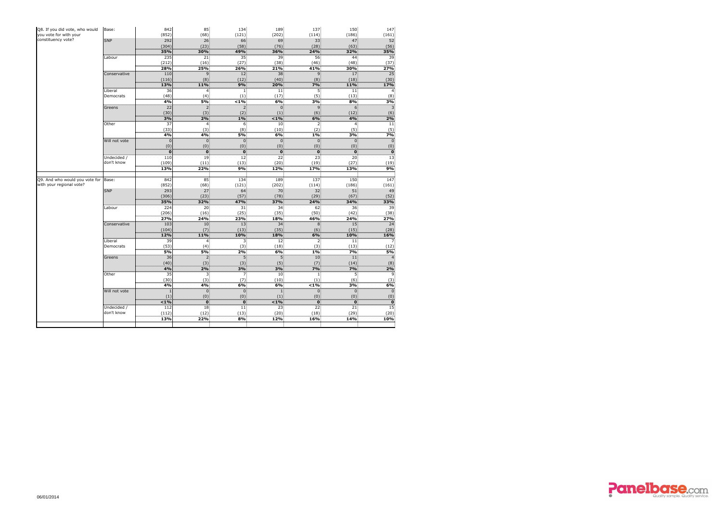| Q8. If you did vote, who would       | Base:               | 842        | 85              | 134             | 189                 | 137                 | 150                 | 147        |
|--------------------------------------|---------------------|------------|-----------------|-----------------|---------------------|---------------------|---------------------|------------|
| you vote for with your               |                     | (852)      | (68)            | (121)           | (202)               | (114)               | (186)               | (161)      |
| constituency vote?                   | <b>SNP</b>          | 292        | 26 <sup>1</sup> | 66              | 69                  | 33 <sup>1</sup>     | 47                  | 52         |
|                                      |                     | (304)      | (23)            | (58)            | (76)                | (28)                | (63)                | (56)       |
|                                      |                     | 35%        | <b>30%</b>      | 49%             | 36%                 | 24%                 | 32%                 | 35%        |
|                                      | Labour              | 235        | 21              | 35              | 39                  | 56                  | 44                  | 39         |
|                                      |                     | (212)<br>  | (16)            | (27)            | (38)                | (46)                | (48)                | (37)       |
|                                      |                     | 28%        | <b>25%</b>      | <b>26%</b>      | 21%                 | 41%                 | 30%                 | 27%        |
|                                      | Conservative        | <b>110</b> | 9:              | 12 <sub>1</sub> | 38                  | 9.                  | 17                  | 25         |
|                                      |                     | (116)      | (8)             | (12)            | (40)                | (8)                 | (18)                | (30)       |
|                                      |                     | 13%        | <b>11%</b>      | 9%              | 20%                 | 7%                  | 11%                 | 17%        |
|                                      | Liberal             | 36         |                 |                 | 11 <sub>1</sub>     |                     | $ 11\rangle$        |            |
|                                      | Democrats           | (48)       | (4)             | (1)             | (17)                | (5)                 | (13)                | (8)        |
|                                      |                     | 4%         | 5%              | $1\%$           | 6%                  | 3%                  | 8%                  | 3%         |
|                                      | Greens              | 22         |                 |                 |                     | 9.                  |                     |            |
|                                      |                     | (30)       | (3)             | (2)             | (1)                 | (6)                 | (12)                | (6)        |
|                                      |                     | 3%         | 2%              | 1%              | $1\%$               | 6%                  | 4%                  | 2%         |
|                                      | Other               | 37         |                 | ь.              | 10 <sup>1</sup>     | 2.                  |                     | 11         |
|                                      |                     | (33)       | (3)             | (8)             | (10)                | (2)                 | (5)                 | (5)        |
|                                      |                     | 4%         | 4%              | 5%              | 6%                  | $1\%$               | 3%                  | 7%         |
|                                      | Will not vote       | (0)        | 0.              | $\overline{0}$  | 0.                  | $\overline{0}$      |                     |            |
|                                      |                     | n          | (0)<br>$\Omega$ | (0)<br>$\Omega$ | (0)<br>$\mathbf{0}$ | (0)<br>$\mathbf{0}$ | (0)<br>$\mathbf{0}$ | (0)        |
|                                      | Undecided /         | 110        | 19              | 12              | 22                  | 23                  | 20 <sup>2</sup>     |            |
|                                      | don't know          | (109)      | (11)            | (13)            | (20)                | (19)                | (27)                | 13         |
|                                      |                     | 13%        | 22%             | 9%              | 12%                 | <b>17%</b>          | 13%                 | (19)<br>9% |
|                                      |                     |            |                 |                 |                     |                     |                     |            |
| Q9. And who would you vote for Base: |                     | 842        | 85              | 134             | 189                 | 137                 | 150                 | 147        |
| with your regional vote?             |                     | (852)      | (68)            | (121)           | (202)               | (114)               | (186)               | (161)      |
|                                      | <b>SNP</b>          | 293        | 27              | 64              | 70                  | 32 <sub>1</sub>     | 51                  | 49         |
|                                      |                     | (306)      | (23)            | (57)            | (78)                | (29)                | (67)                | (52)       |
|                                      |                     | 35%        | 32%             | 47%             | 37%                 | 24%                 | 34%                 | 33%        |
|                                      | Labour              | 224        | 20 <sub>2</sub> | 31              | 34                  | 62                  | 36                  | 39         |
|                                      |                     | (206)      | (16)            | (25)            | (35)                | (50)                | (42)                | (38)       |
|                                      |                     | 27%        | 24%             | <b>23%</b>      | <b>18%</b>          | 46%                 | 24%                 | 27%        |
|                                      | <b>Conservative</b> | 103        | 10.             | 13.             | 34.                 |                     | 15.                 | 24         |
|                                      |                     | (104)      |                 | (13)            | (35)                | (6)                 | (15)                | (28)       |
|                                      |                     | 12%        | <b>11%</b>      | 10%             | <b>18%</b>          | 6%                  | 10%                 | 16%        |
|                                      | Liberal             | 39         |                 |                 | 12                  |                     | 11                  |            |
|                                      | Democrats           | (53)       | (4)             | (3)             | (18)                | (3)                 | (13)                | (12)       |
|                                      |                     | ñomo<br>5% | 5%              | 2%              | 6%                  | 1%                  | 7%                  | 5%         |
|                                      | Greens              | 36         |                 |                 |                     | 10 <sub>1</sub>     | 11                  |            |
|                                      |                     | (40)       | (3)             | (3)             | (5)                 | (7)                 | (14)                |            |
|                                      |                     | 4%         | 2%              | 3%              | 3%                  | 7%                  | 7%                  | 2%         |
|                                      | Other               | 35         |                 |                 | $10^{\circ}$        |                     |                     |            |
|                                      |                     | (30)       | (3)             | (7)             | (10)                | (1)                 | (6)                 | (3)        |
|                                      |                     | 4%         | 4%              | 6%              | 6%                  | $< 1\%$             | 3%                  | 6%         |
|                                      | Will not vote       |            | 0.              | 0               |                     |                     |                     |            |
|                                      |                     | (1)        | (0)             | (0)             | (1)                 | (0)                 | (0)                 | (0)        |
|                                      |                     | < 1%       |                 |                 | $1\%$               |                     |                     |            |
|                                      | Undecided /         | 112        | 18.             | 11.             | 23                  | 22:                 | 21                  | 15         |
|                                      | don't know          | (112)      | $(12)$ :        | (13)            | (20)                | $(18)$ :            | (29)                | (20)       |
|                                      |                     | 13%        | <b>22%</b>      | 8%              | 12%                 | <b>16%</b>          | <b>14%</b>          | 10%        |
|                                      |                     |            |                 |                 |                     |                     |                     |            |